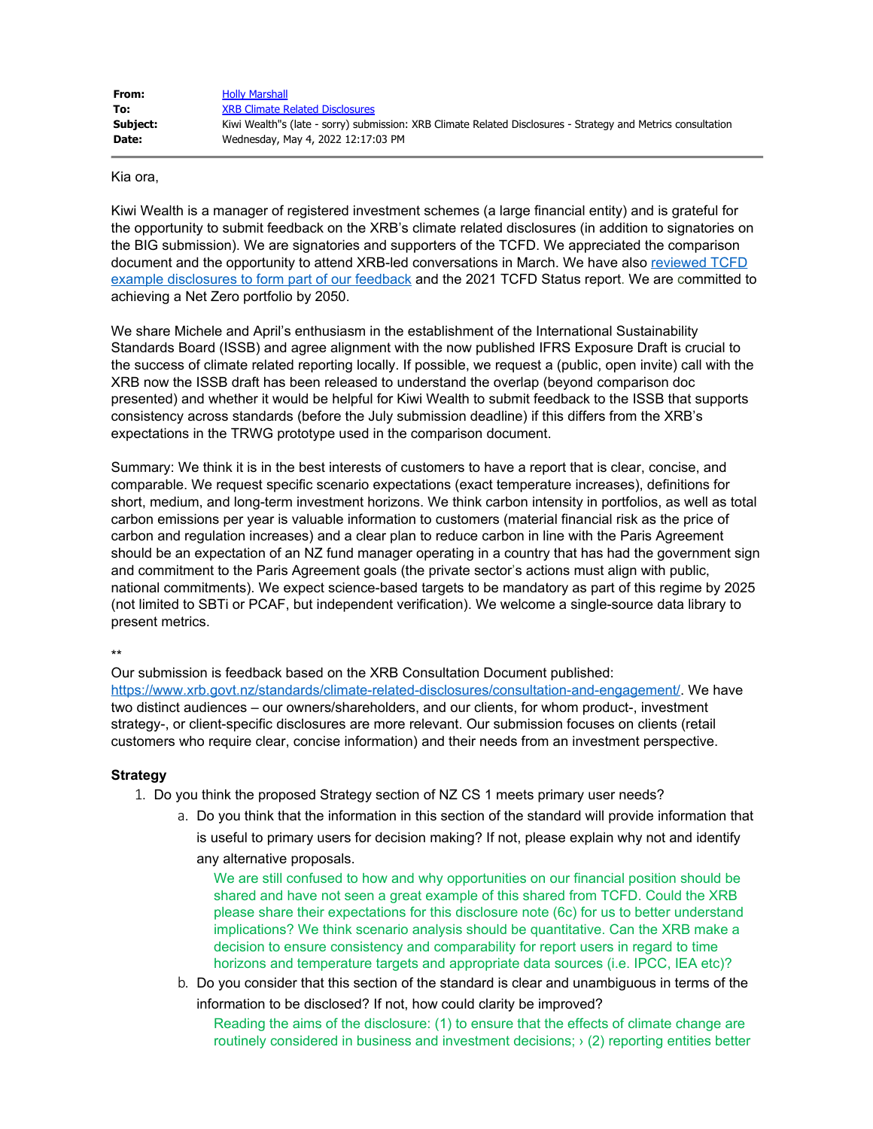| From:    | <b>Holly Marshall</b>                                                                                        |
|----------|--------------------------------------------------------------------------------------------------------------|
| To:      | <b>XRB Climate Related Disclosures</b>                                                                       |
| Subject: | Kiwi Wealth"s (late - sorry) submission: XRB Climate Related Disclosures - Strategy and Metrics consultation |
| Date:    | Wednesday, May 4, 2022 12:17:03 PM                                                                           |

Kia ora,

Kiwi Wealth is a manager of registered investment schemes (a large financial entity) and is grateful for the opportunity to submit feedback on the XRB's climate related disclosures (in addition to signatories on the BIG submission). We are signatories and supporters of the TCFD. We appreciated the comparison document and the opportunity to attend XRB-led conversations in March. We have also [reviewed TCFD](https://aus01.safelinks.protection.outlook.com/?url=https%3A%2F%2Fwww.fsb-tcfd.org%2Fexample-disclosures%2F%3Futm_source%3DEmail%26utm_campaign%3D625331%26utm_medium%3DNurture%26utm_content%3DTCFDExampleDisclosureLaunch%26tactic%3D625331&data=05%7C01%7Cclimate%40xrb.govt.nz%7C45de0304ca76412cebaf08da2d636753%7C5399615245614986a4e9e98f4cb07127%7C1%7C0%7C637872202232090201%7CUnknown%7CTWFpbGZsb3d8eyJWIjoiMC4wLjAwMDAiLCJQIjoiV2luMzIiLCJBTiI6Ik1haWwiLCJXVCI6Mn0%3D%7C3000%7C%7C%7C&sdata=wHN8nQb3c%2FbfqyEg6%2BNiOPTLw3w4am%2BN%2FFb1xVZmHHY%3D&reserved=0) [example disclosures to form part of our feedback](https://aus01.safelinks.protection.outlook.com/?url=https%3A%2F%2Fwww.fsb-tcfd.org%2Fexample-disclosures%2F%3Futm_source%3DEmail%26utm_campaign%3D625331%26utm_medium%3DNurture%26utm_content%3DTCFDExampleDisclosureLaunch%26tactic%3D625331&data=05%7C01%7Cclimate%40xrb.govt.nz%7C45de0304ca76412cebaf08da2d636753%7C5399615245614986a4e9e98f4cb07127%7C1%7C0%7C637872202232090201%7CUnknown%7CTWFpbGZsb3d8eyJWIjoiMC4wLjAwMDAiLCJQIjoiV2luMzIiLCJBTiI6Ik1haWwiLCJXVCI6Mn0%3D%7C3000%7C%7C%7C&sdata=wHN8nQb3c%2FbfqyEg6%2BNiOPTLw3w4am%2BN%2FFb1xVZmHHY%3D&reserved=0) and the 2021 TCFD Status report. We are committed to achieving a Net Zero portfolio by 2050.

We share Michele and April's enthusiasm in the establishment of the International Sustainability Standards Board (ISSB) and agree alignment with the now published IFRS Exposure Draft is crucial to the success of climate related reporting locally. If possible, we request a (public, open invite) call with the XRB now the ISSB draft has been released to understand the overlap (beyond comparison doc presented) and whether it would be helpful for Kiwi Wealth to submit feedback to the ISSB that supports consistency across standards (before the July submission deadline) if this differs from the XRB's expectations in the TRWG prototype used in the comparison document.

Summary: We think it is in the best interests of customers to have a report that is clear, concise, and comparable. We request specific scenario expectations (exact temperature increases), definitions for short, medium, and long-term investment horizons. We think carbon intensity in portfolios, as well as total carbon emissions per year is valuable information to customers (material financial risk as the price of carbon and regulation increases) and a clear plan to reduce carbon in line with the Paris Agreement should be an expectation of an NZ fund manager operating in a country that has had the government sign and commitment to the Paris Agreement goals (the private sector's actions must align with public, national commitments). We expect science-based targets to be mandatory as part of this regime by 2025 (not limited to SBTi or PCAF, but independent verification). We welcome a single-source data library to present metrics.

\*\*

Our submission is feedback based on the XRB Consultation Document published: [https://www.xrb.govt.nz/standards/climate-related-disclosures/consultation-and-engagement/](https://aus01.safelinks.protection.outlook.com/?url=https%3A%2F%2Fwww.xrb.govt.nz%2Fstandards%2Fclimate-related-disclosures%2Fconsultation-and-engagement%2F&data=05%7C01%7Cclimate%40xrb.govt.nz%7C45de0304ca76412cebaf08da2d636753%7C5399615245614986a4e9e98f4cb07127%7C1%7C0%7C637872202232090201%7CUnknown%7CTWFpbGZsb3d8eyJWIjoiMC4wLjAwMDAiLCJQIjoiV2luMzIiLCJBTiI6Ik1haWwiLCJXVCI6Mn0%3D%7C3000%7C%7C%7C&sdata=qc%2B57bCVuOKhhkITWMotTlr4Utq923vDPK1mYQTf2nU%3D&reserved=0). We have two distinct audiences – our owners/shareholders, and our clients, for whom product-, investment strategy-, or client-specific disclosures are more relevant. Our submission focuses on clients (retail customers who require clear, concise information) and their needs from an investment perspective.

## **Strategy**

- 1. Do you think the proposed Strategy section of NZ CS 1 meets primary user needs?
	- a. Do you think that the information in this section of the standard will provide information that is useful to primary users for decision making? If not, please explain why not and identify any alternative proposals.

We are still confused to how and why opportunities on our financial position should be shared and have not seen a great example of this shared from TCFD. Could the XRB please share their expectations for this disclosure note (6c) for us to better understand implications? We think scenario analysis should be quantitative. Can the XRB make a decision to ensure consistency and comparability for report users in regard to time horizons and temperature targets and appropriate data sources (i.e. IPCC, IEA etc)?

b. Do you consider that this section of the standard is clear and unambiguous in terms of the information to be disclosed? If not, how could clarity be improved?

Reading the aims of the disclosure: (1) to ensure that the effects of climate change are routinely considered in business and investment decisions; › (2) reporting entities better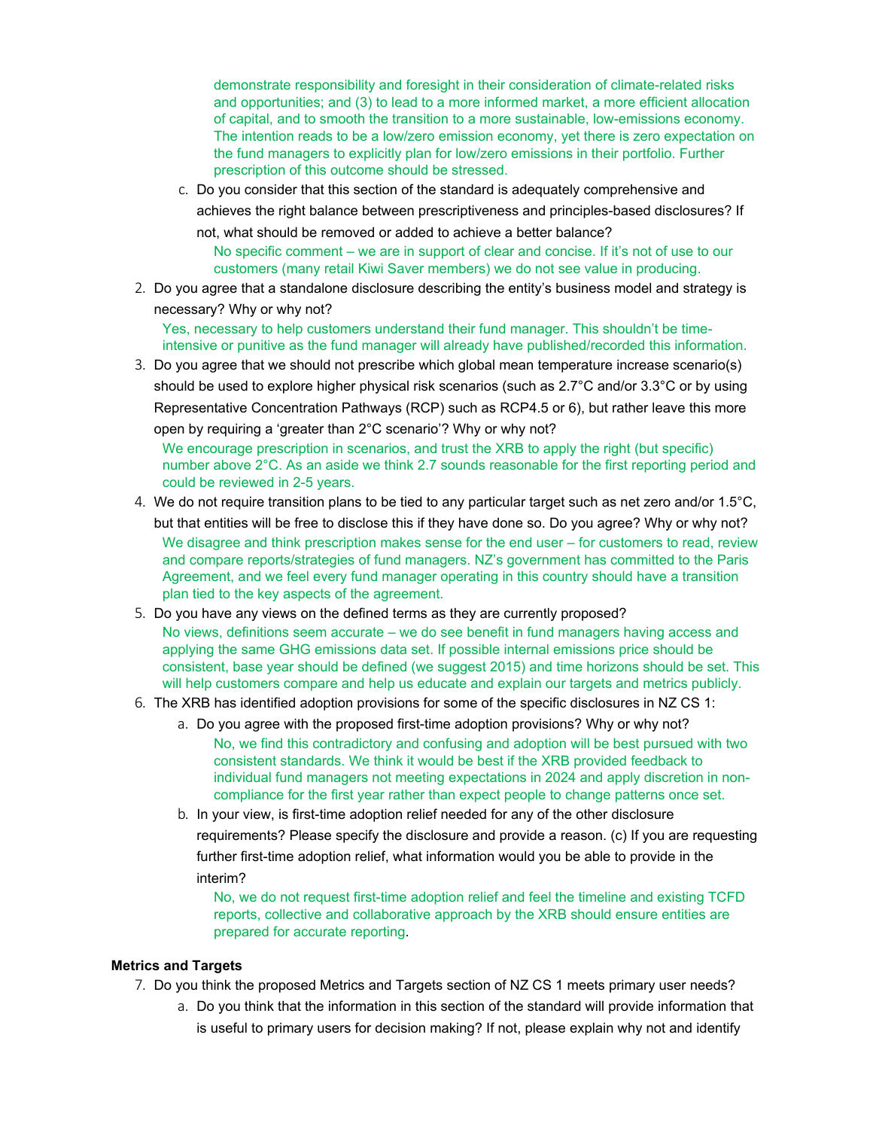demonstrate responsibility and foresight in their consideration of climate-related risks and opportunities; and (3) to lead to a more informed market, a more efficient allocation of capital, and to smooth the transition to a more sustainable, low-emissions economy. The intention reads to be a low/zero emission economy, yet there is zero expectation on the fund managers to explicitly plan for low/zero emissions in their portfolio. Further prescription of this outcome should be stressed.

c. Do you consider that this section of the standard is adequately comprehensive and achieves the right balance between prescriptiveness and principles-based disclosures? If not, what should be removed or added to achieve a better balance?

No specific comment – we are in support of clear and concise. If it's not of use to our customers (many retail Kiwi Saver members) we do not see value in producing.

2. Do you agree that a standalone disclosure describing the entity's business model and strategy is necessary? Why or why not?

Yes, necessary to help customers understand their fund manager. This shouldn't be timeintensive or punitive as the fund manager will already have published/recorded this information.

3. Do you agree that we should not prescribe which global mean temperature increase scenario(s) should be used to explore higher physical risk scenarios (such as 2.7°C and/or 3.3°C or by using Representative Concentration Pathways (RCP) such as RCP4.5 or 6), but rather leave this more open by requiring a 'greater than 2°C scenario'? Why or why not?

We encourage prescription in scenarios, and trust the XRB to apply the right (but specific) number above 2°C. As an aside we think 2.7 sounds reasonable for the first reporting period and could be reviewed in 2-5 years.

- 4. We do not require transition plans to be tied to any particular target such as net zero and/or 1.5°C, but that entities will be free to disclose this if they have done so. Do you agree? Why or why not? We disagree and think prescription makes sense for the end user – for customers to read, review and compare reports/strategies of fund managers. NZ's government has committed to the Paris Agreement, and we feel every fund manager operating in this country should have a transition plan tied to the key aspects of the agreement.
- 5. Do you have any views on the defined terms as they are currently proposed? No views, definitions seem accurate – we do see benefit in fund managers having access and applying the same GHG emissions data set. If possible internal emissions price should be consistent, base year should be defined (we suggest 2015) and time horizons should be set. This will help customers compare and help us educate and explain our targets and metrics publicly.
- 6. The XRB has identified adoption provisions for some of the specific disclosures in NZ CS 1:
	- a. Do you agree with the proposed first-time adoption provisions? Why or why not? No, we find this contradictory and confusing and adoption will be best pursued with two consistent standards. We think it would be best if the XRB provided feedback to individual fund managers not meeting expectations in 2024 and apply discretion in noncompliance for the first year rather than expect people to change patterns once set.
	- b. In your view, is first-time adoption relief needed for any of the other disclosure requirements? Please specify the disclosure and provide a reason. (c) If you are requesting further first-time adoption relief, what information would you be able to provide in the interim?

No, we do not request first-time adoption relief and feel the timeline and existing TCFD reports, collective and collaborative approach by the XRB should ensure entities are prepared for accurate reporting.

## **Metrics and Targets**

- 7. Do you think the proposed Metrics and Targets section of NZ CS 1 meets primary user needs?
	- a. Do you think that the information in this section of the standard will provide information that is useful to primary users for decision making? If not, please explain why not and identify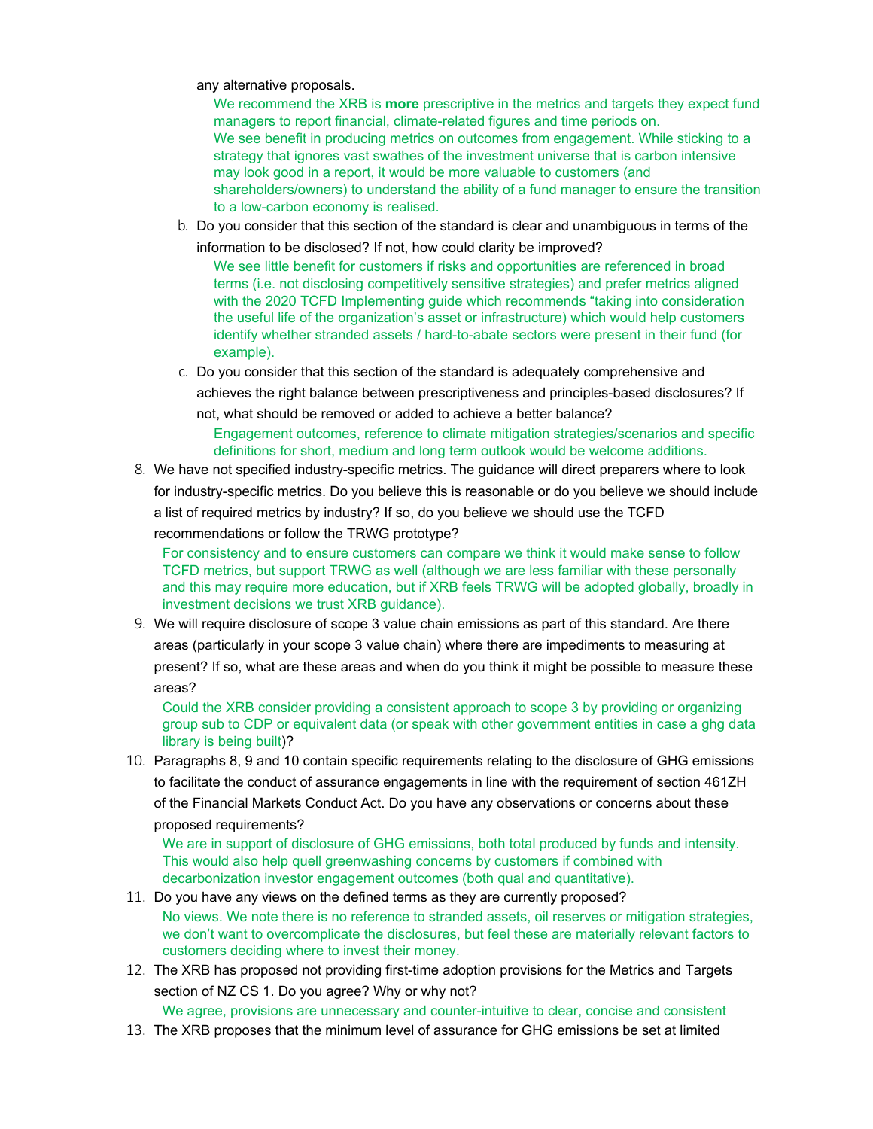any alternative proposals.

We recommend the XRB is **more** prescriptive in the metrics and targets they expect fund managers to report financial, climate-related figures and time periods on. We see benefit in producing metrics on outcomes from engagement. While sticking to a strategy that ignores vast swathes of the investment universe that is carbon intensive may look good in a report, it would be more valuable to customers (and shareholders/owners) to understand the ability of a fund manager to ensure the transition to a low-carbon economy is realised.

b. Do you consider that this section of the standard is clear and unambiguous in terms of the

information to be disclosed? If not, how could clarity be improved?

We see little benefit for customers if risks and opportunities are referenced in broad terms (i.e. not disclosing competitively sensitive strategies) and prefer metrics aligned with the 2020 TCFD Implementing guide which recommends "taking into consideration the useful life of the organization's asset or infrastructure) which would help customers identify whether stranded assets / hard-to-abate sectors were present in their fund (for example).

c. Do you consider that this section of the standard is adequately comprehensive and achieves the right balance between prescriptiveness and principles-based disclosures? If

not, what should be removed or added to achieve a better balance?

Engagement outcomes, reference to climate mitigation strategies/scenarios and specific definitions for short, medium and long term outlook would be welcome additions.

8. We have not specified industry-specific metrics. The guidance will direct preparers where to look for industry-specific metrics. Do you believe this is reasonable or do you believe we should include a list of required metrics by industry? If so, do you believe we should use the TCFD recommendations or follow the TRWG prototype?

For consistency and to ensure customers can compare we think it would make sense to follow TCFD metrics, but support TRWG as well (although we are less familiar with these personally and this may require more education, but if XRB feels TRWG will be adopted globally, broadly in investment decisions we trust XRB guidance).

9. We will require disclosure of scope 3 value chain emissions as part of this standard. Are there areas (particularly in your scope 3 value chain) where there are impediments to measuring at present? If so, what are these areas and when do you think it might be possible to measure these areas?

Could the XRB consider providing a consistent approach to scope 3 by providing or organizing group sub to CDP or equivalent data (or speak with other government entities in case a ghg data library is being built)?

10. Paragraphs 8, 9 and 10 contain specific requirements relating to the disclosure of GHG emissions to facilitate the conduct of assurance engagements in line with the requirement of section 461ZH of the Financial Markets Conduct Act. Do you have any observations or concerns about these proposed requirements?

We are in support of disclosure of GHG emissions, both total produced by funds and intensity. This would also help quell greenwashing concerns by customers if combined with decarbonization investor engagement outcomes (both qual and quantitative).

- 11. Do you have any views on the defined terms as they are currently proposed? No views. We note there is no reference to stranded assets, oil reserves or mitigation strategies, we don't want to overcomplicate the disclosures, but feel these are materially relevant factors to customers deciding where to invest their money.
- 12. The XRB has proposed not providing first-time adoption provisions for the Metrics and Targets section of NZ CS 1. Do you agree? Why or why not?

We agree, provisions are unnecessary and counter-intuitive to clear, concise and consistent

13. The XRB proposes that the minimum level of assurance for GHG emissions be set at limited